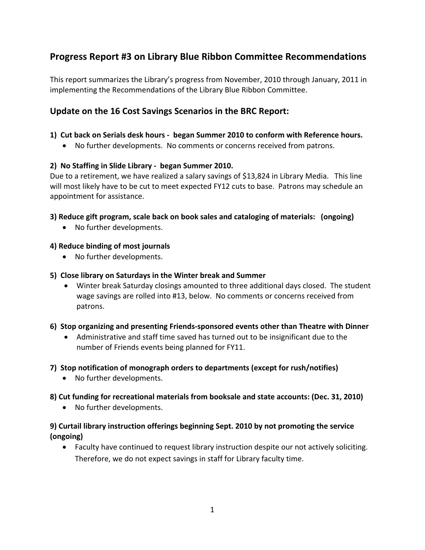# **Progress Report #3 on Library Blue Ribbon Committee Recommendations**

This report summarizes the Library's progress from November, 2010 through January, 2011 in implementing the Recommendations of the Library Blue Ribbon Committee.

# **Update on the 16 Cost Savings Scenarios in the BRC Report:**

#### **1) Cut back on Serials desk hours ‐ began Summer 2010 to conform with Reference hours.**

No further developments. No comments or concerns received from patrons.

## **2) No Staffing in Slide Library ‐ began Summer 2010.**

Due to a retirement, we have realized a salary savings of \$13,824 in Library Media. This line will most likely have to be cut to meet expected FY12 cuts to base. Patrons may schedule an appointment for assistance.

## **3) Reduce gift program, scale back on book sales and cataloging of materials: (ongoing)**

• No further developments.

## **4) Reduce binding of most journals**

• No further developments.

#### **5) Close library on Saturdays in the Winter break and Summer**

 Winter break Saturday closings amounted to three additional days closed. The student wage savings are rolled into #13, below. No comments or concerns received from patrons.

#### **6) Stop organizing and presenting Friends‐sponsored events other than Theatre with Dinner**

 Administrative and staff time saved has turned out to be insignificant due to the number of Friends events being planned for FY11.

#### **7) Stop notification of monograph orders to departments (except for rush/notifies)**

• No further developments.

# **8) Cut funding for recreational materials from booksale and state accounts: (Dec. 31, 2010)**

• No further developments.

## **9) Curtail library instruction offerings beginning Sept. 2010 by not promoting the service (ongoing)**

 Faculty have continued to request library instruction despite our not actively soliciting. Therefore, we do not expect savings in staff for Library faculty time.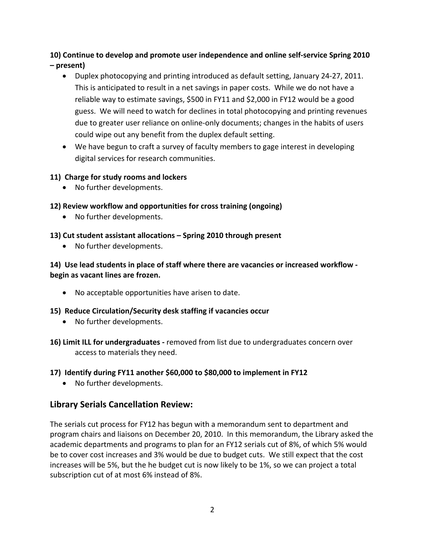# **10) Continue to develop and promote user independence and online self‐service Spring 2010 – present)**

- Duplex photocopying and printing introduced as default setting, January 24-27, 2011. This is anticipated to result in a net savings in paper costs. While we do not have a reliable way to estimate savings, \$500 in FY11 and \$2,000 in FY12 would be a good guess. We will need to watch for declines in total photocopying and printing revenues due to greater user reliance on online‐only documents; changes in the habits of users could wipe out any benefit from the duplex default setting.
- We have begun to craft a survey of faculty members to gage interest in developing digital services for research communities.

## **11) Charge for study rooms and lockers**

• No further developments.

## **12) Review workflow and opportunities for cross training (ongoing)**

• No further developments.

## **13) Cut student assistant allocations – Spring 2010 through present**

• No further developments.

## **14) Use lead students in place of staff where there are vacancies or increased workflow ‐ begin as vacant lines are frozen.**

No acceptable opportunities have arisen to date.

#### **15) Reduce Circulation/Security desk staffing if vacancies occur**

- No further developments.
- **16) Limit ILL for undergraduates ‐** removed from list due to undergraduates concern over access to materials they need.

#### **17) Identify during FY11 another \$60,000 to \$80,000 to implement in FY12**

• No further developments.

# **Library Serials Cancellation Review:**

The serials cut process for FY12 has begun with a memorandum sent to department and program chairs and liaisons on December 20, 2010. In this memorandum, the Library asked the academic departments and programs to plan for an FY12 serials cut of 8%, of which 5% would be to cover cost increases and 3% would be due to budget cuts. We still expect that the cost increases will be 5%, but the he budget cut is now likely to be 1%, so we can project a total subscription cut of at most 6% instead of 8%.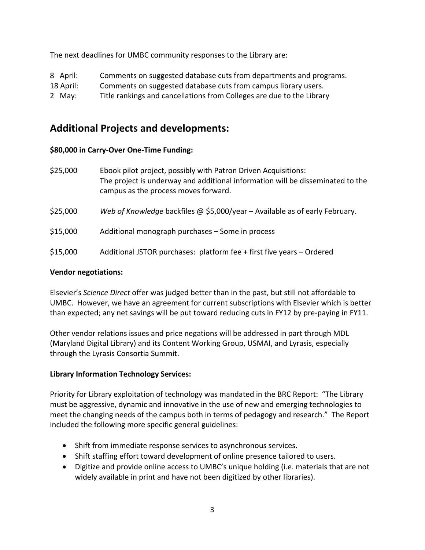The next deadlines for UMBC community responses to the Library are:

- 8 April: Comments on suggested database cuts from departments and programs.
- 18 April: Comments on suggested database cuts from campus library users.
- 2 May: Title rankings and cancellations from Colleges are due to the Library

# **Additional Projects and developments:**

## **\$80,000 in Carry‐Over One‐Time Funding:**

| \$25,000 | Ebook pilot project, possibly with Patron Driven Acquisitions:<br>The project is underway and additional information will be disseminated to the<br>campus as the process moves forward. |
|----------|------------------------------------------------------------------------------------------------------------------------------------------------------------------------------------------|
| \$25,000 | Web of Knowledge backfiles @ \$5,000/year - Available as of early February.                                                                                                              |
| \$15,000 | Additional monograph purchases - Some in process                                                                                                                                         |
| \$15,000 | Additional JSTOR purchases: platform fee + first five years - Ordered                                                                                                                    |

#### **Vendor negotiations:**

Elsevier's *Science Direct* offer was judged better than in the past, but still not affordable to UMBC. However, we have an agreement for current subscriptions with Elsevier which is better than expected; any net savings will be put toward reducing cuts in FY12 by pre‐paying in FY11.

Other vendor relations issues and price negations will be addressed in part through MDL (Maryland Digital Library) and its Content Working Group, USMAI, and Lyrasis, especially through the Lyrasis Consortia Summit.

# **Library Information Technology Services:**

Priority for Library exploitation of technology was mandated in the BRC Report: "The Library must be aggressive, dynamic and innovative in the use of new and emerging technologies to meet the changing needs of the campus both in terms of pedagogy and research." The Report included the following more specific general guidelines:

- Shift from immediate response services to asynchronous services.
- Shift staffing effort toward development of online presence tailored to users.
- Digitize and provide online access to UMBC's unique holding (i.e. materials that are not widely available in print and have not been digitized by other libraries).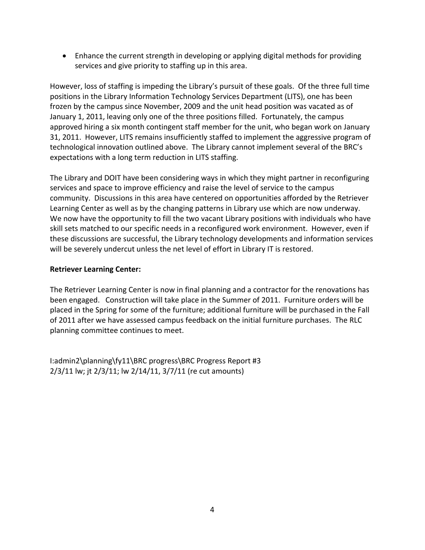Enhance the current strength in developing or applying digital methods for providing services and give priority to staffing up in this area.

However, loss of staffing is impeding the Library's pursuit of these goals. Of the three full time positions in the Library Information Technology Services Department (LITS), one has been frozen by the campus since November, 2009 and the unit head position was vacated as of January 1, 2011, leaving only one of the three positions filled. Fortunately, the campus approved hiring a six month contingent staff member for the unit, who began work on January 31, 2011. However, LITS remains insufficiently staffed to implement the aggressive program of technological innovation outlined above. The Library cannot implement several of the BRC's expectations with a long term reduction in LITS staffing.

The Library and DOIT have been considering ways in which they might partner in reconfiguring services and space to improve efficiency and raise the level of service to the campus community. Discussions in this area have centered on opportunities afforded by the Retriever Learning Center as well as by the changing patterns in Library use which are now underway. We now have the opportunity to fill the two vacant Library positions with individuals who have skill sets matched to our specific needs in a reconfigured work environment. However, even if these discussions are successful, the Library technology developments and information services will be severely undercut unless the net level of effort in Library IT is restored.

#### **Retriever Learning Center:**

The Retriever Learning Center is now in final planning and a contractor for the renovations has been engaged. Construction will take place in the Summer of 2011. Furniture orders will be placed in the Spring for some of the furniture; additional furniture will be purchased in the Fall of 2011 after we have assessed campus feedback on the initial furniture purchases. The RLC planning committee continues to meet.

I:admin2\planning\fy11\BRC progress\BRC Progress Report #3 2/3/11 lw; jt 2/3/11; lw 2/14/11, 3/7/11 (re cut amounts)